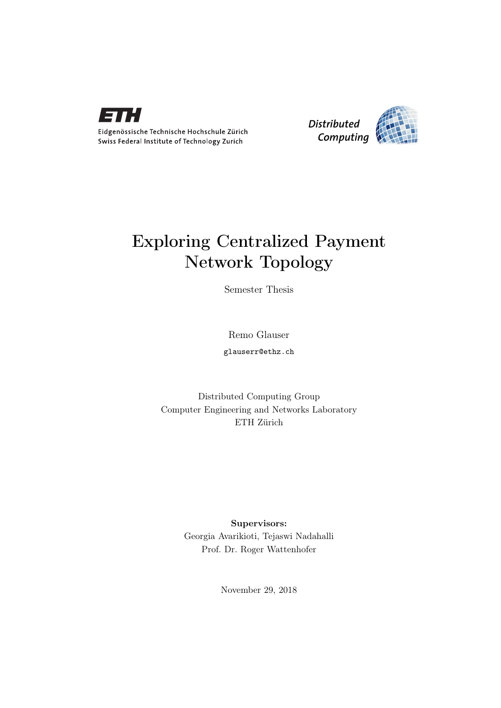

Eidgenössische Technische Hochschule Zürich Swiss Federal Institute of Technology Zurich



## Exploring Centralized Payment Network Topology

Semester Thesis

Remo Glauser

glauserr@ethz.ch

Distributed Computing Group Computer Engineering and Networks Laboratory ETH Zürich

> Supervisors: Georgia Avarikioti, Tejaswi Nadahalli Prof. Dr. Roger Wattenhofer

> > November 29, 2018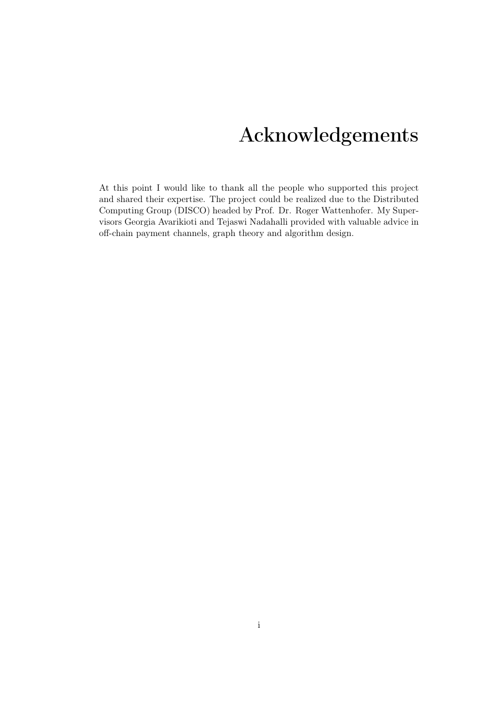# Acknowledgements

<span id="page-1-0"></span>At this point I would like to thank all the people who supported this project and shared their expertise. The project could be realized due to the Distributed Computing Group (DISCO) headed by Prof. Dr. Roger Wattenhofer. My Supervisors Georgia Avarikioti and Tejaswi Nadahalli provided with valuable advice in off-chain payment channels, graph theory and algorithm design.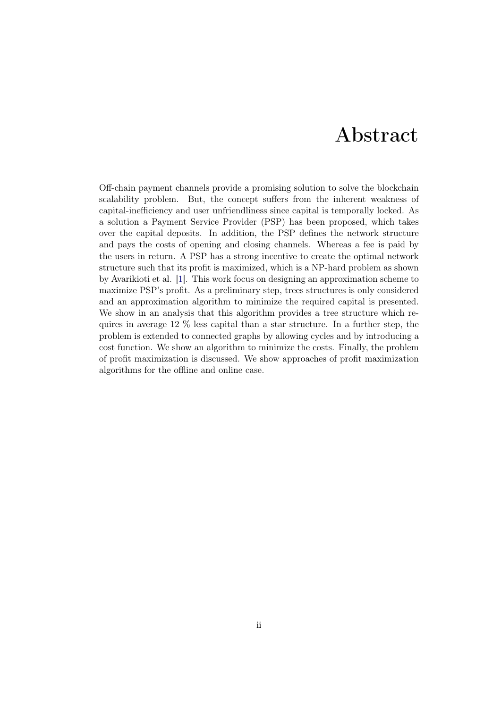## Abstract

<span id="page-2-0"></span>Off-chain payment channels provide a promising solution to solve the blockchain scalability problem. But, the concept suffers from the inherent weakness of capital-inefficiency and user unfriendliness since capital is temporally locked. As a solution a Payment Service Provider (PSP) has been proposed, which takes over the capital deposits. In addition, the PSP defines the network structure and pays the costs of opening and closing channels. Whereas a fee is paid by the users in return. A PSP has a strong incentive to create the optimal network structure such that its profit is maximized, which is a NP-hard problem as shown by Avarikioti et al. [\[1\]](#page-36-0). This work focus on designing an approximation scheme to maximize PSP's profit. As a preliminary step, trees structures is only considered and an approximation algorithm to minimize the required capital is presented. We show in an analysis that this algorithm provides a tree structure which requires in average 12 % less capital than a star structure. In a further step, the problem is extended to connected graphs by allowing cycles and by introducing a cost function. We show an algorithm to minimize the costs. Finally, the problem of profit maximization is discussed. We show approaches of profit maximization algorithms for the offline and online case.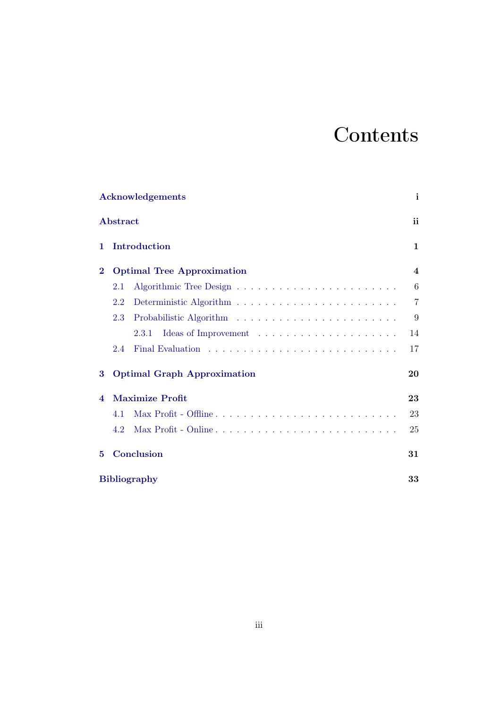# **Contents**

|                         | <b>Acknowledgements</b>            | i                       |  |
|-------------------------|------------------------------------|-------------------------|--|
|                         | Abstract                           | ii                      |  |
| 1.                      | Introduction                       | 1                       |  |
| $\bf{2}$                | <b>Optimal Tree Approximation</b>  | $\overline{\mathbf{4}}$ |  |
|                         | 2.1                                | 6                       |  |
|                         | 2.2                                | $\overline{7}$          |  |
|                         | 2.3                                | 9                       |  |
|                         | 2.3.1                              | 14                      |  |
|                         | 2.4                                | 17                      |  |
| 3                       | <b>Optimal Graph Approximation</b> |                         |  |
| $\overline{\mathbf{4}}$ | <b>Maximize Profit</b>             | 23                      |  |
|                         | 4.1                                | 23                      |  |
|                         | 4.2                                | 25                      |  |
| 5                       | Conclusion                         | 31                      |  |
|                         | <b>Bibliography</b>                |                         |  |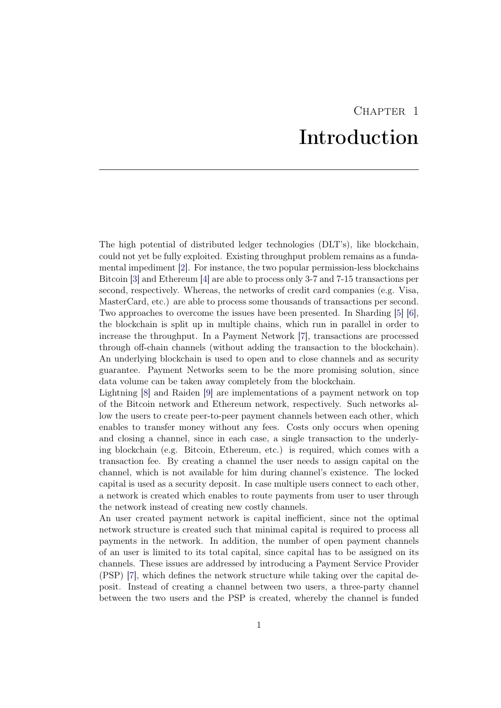# CHAPTER<sub>1</sub> Introduction

<span id="page-4-0"></span>The high potential of distributed ledger technologies (DLT's), like blockchain, could not yet be fully exploited. Existing throughput problem remains as a fundamental impediment [\[2\]](#page-36-2). For instance, the two popular permission-less blockchains Bitcoin [\[3\]](#page-36-3) and Ethereum [\[4\]](#page-36-4) are able to process only 3-7 and 7-15 transactions per second, respectively. Whereas, the networks of credit card companies (e.g. Visa, MasterCard, etc.) are able to process some thousands of transactions per second. Two approaches to overcome the issues have been presented. In Sharding [\[5\]](#page-36-5) [\[6\]](#page-36-6), the blockchain is split up in multiple chains, which run in parallel in order to increase the throughput. In a Payment Network [\[7\]](#page-36-7), transactions are processed through off-chain channels (without adding the transaction to the blockchain). An underlying blockchain is used to open and to close channels and as security guarantee. Payment Networks seem to be the more promising solution, since data volume can be taken away completely from the blockchain.

Lightning [\[8\]](#page-36-8) and Raiden [\[9\]](#page-36-9) are implementations of a payment network on top of the Bitcoin network and Ethereum network, respectively. Such networks allow the users to create peer-to-peer payment channels between each other, which enables to transfer money without any fees. Costs only occurs when opening and closing a channel, since in each case, a single transaction to the underlying blockchain (e.g. Bitcoin, Ethereum, etc.) is required, which comes with a transaction fee. By creating a channel the user needs to assign capital on the channel, which is not available for him during channel's existence. The locked capital is used as a security deposit. In case multiple users connect to each other, a network is created which enables to route payments from user to user through the network instead of creating new costly channels.

An user created payment network is capital inefficient, since not the optimal network structure is created such that minimal capital is required to process all payments in the network. In addition, the number of open payment channels of an user is limited to its total capital, since capital has to be assigned on its channels. These issues are addressed by introducing a Payment Service Provider (PSP) [\[7\]](#page-36-7), which defines the network structure while taking over the capital deposit. Instead of creating a channel between two users, a three-party channel between the two users and the PSP is created, whereby the channel is funded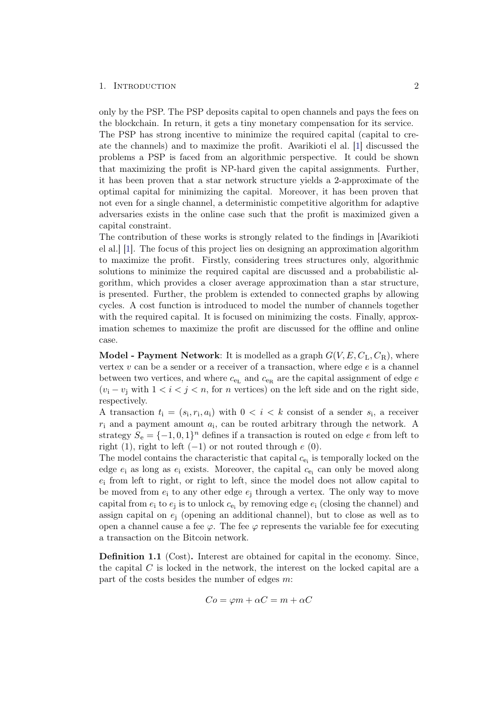#### 1. INTRODUCTION 2

capital constraint.

only by the PSP. The PSP deposits capital to open channels and pays the fees on the blockchain. In return, it gets a tiny monetary compensation for its service. The PSP has strong incentive to minimize the required capital (capital to create the channels) and to maximize the profit. Avarikioti el al. [\[1\]](#page-36-0) discussed the problems a PSP is faced from an algorithmic perspective. It could be shown that maximizing the profit is NP-hard given the capital assignments. Further, it has been proven that a star network structure yields a 2-approximate of the optimal capital for minimizing the capital. Moreover, it has been proven that not even for a single channel, a deterministic competitive algorithm for adaptive adversaries exists in the online case such that the profit is maximized given a

The contribution of these works is strongly related to the findings in [Avarikioti el al.] [\[1\]](#page-36-0). The focus of this project lies on designing an approximation algorithm to maximize the profit. Firstly, considering trees structures only, algorithmic solutions to minimize the required capital are discussed and a probabilistic algorithm, which provides a closer average approximation than a star structure, is presented. Further, the problem is extended to connected graphs by allowing cycles. A cost function is introduced to model the number of channels together with the required capital. It is focused on minimizing the costs. Finally, approximation schemes to maximize the profit are discussed for the offline and online case.

**Model - Payment Network**: It is modelled as a graph  $G(V, E, C<sub>L</sub>, C<sub>R</sub>)$ , where vertex  $v$  can be a sender or a receiver of a transaction, where edge  $e$  is a channel between two vertices, and where  $c_{e<sub>L</sub>}$  and  $c_{e<sub>R</sub>}$  are the capital assignment of edge  $e$  $(v_i - v_j \text{ with } 1 < i < j < n$ , for *n* vertices) on the left side and on the right side, respectively.

A transaction  $t_i = (s_i, r_i, a_i)$  with  $0 < i < k$  consist of a sender  $s_i$ , a receiver  $r_i$  and a payment amount  $a_i$ , can be routed arbitrary through the network. A strategy  $S_e = \{-1, 0, 1\}^n$  defines if a transaction is routed on edge e from left to right (1), right to left  $(-1)$  or not routed through  $e(0)$ .

The model contains the characteristic that capital  $c_{e_i}$  is temporally locked on the edge  $e_i$  as long as  $e_i$  exists. Moreover, the capital  $c_{e_i}$  can only be moved along  $e_i$  from left to right, or right to left, since the model does not allow capital to be moved from  $e_i$  to any other edge  $e_i$  through a vertex. The only way to move capital from  $e_i$  to  $e_j$  is to unlock  $c_{e_i}$  by removing edge  $e_i$  (closing the channel) and assign capital on  $e_i$  (opening an additional channel), but to close as well as to open a channel cause a fee  $\varphi$ . The fee  $\varphi$  represents the variable fee for executing a transaction on the Bitcoin network.

Definition 1.1 (Cost). Interest are obtained for capital in the economy. Since, the capital  $C$  is locked in the network, the interest on the locked capital are a part of the costs besides the number of edges m:

$$
Co = \varphi m + \alpha C = m + \alpha C
$$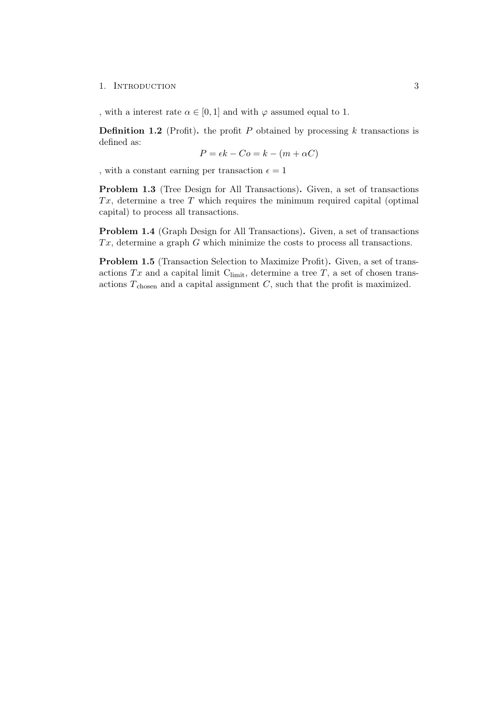#### 1. INTRODUCTION 3

, with a interest rate  $\alpha \in [0,1]$  and with  $\varphi$  assumed equal to 1.

**Definition 1.2** (Profit). the profit P obtained by processing  $k$  transactions is defined as:

$$
P = \epsilon k - Co = k - (m + \alpha C)
$$

, with a constant earning per transaction  $\epsilon = 1$ 

<span id="page-6-0"></span>Problem 1.3 (Tree Design for All Transactions). Given, a set of transactions  $Tx$ , determine a tree T which requires the minimum required capital (optimal) capital) to process all transactions.

<span id="page-6-1"></span>Problem 1.4 (Graph Design for All Transactions). Given, a set of transactions  $Tx$ , determine a graph  $G$  which minimize the costs to process all transactions.

<span id="page-6-2"></span>Problem 1.5 (Transaction Selection to Maximize Profit). Given, a set of transactions  $Tx$  and a capital limit  $C_{\text{limit}}$ , determine a tree  $T$ , a set of chosen transactions  $T_{\text{chosen}}$  and a capital assignment  $C$ , such that the profit is maximized.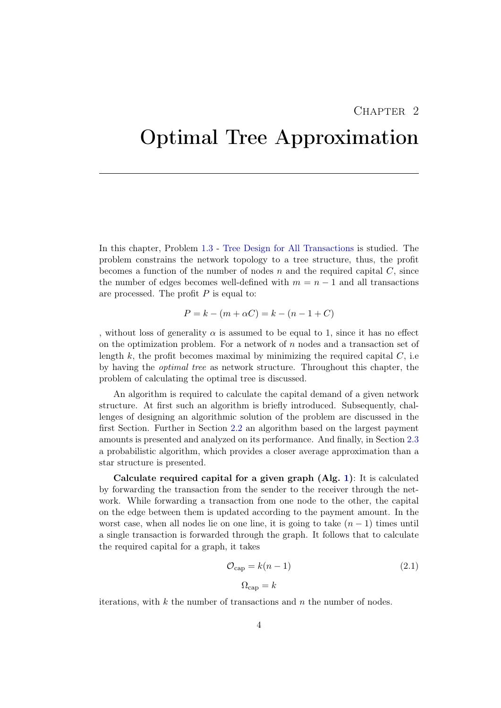## $CHAPTER$  2

## <span id="page-7-0"></span>Optimal Tree Approximation

In this chapter, Problem [1.3](#page-6-0) - [Tree Design for All Transactions](#page-6-0) is studied. The problem constrains the network topology to a tree structure, thus, the profit becomes a function of the number of nodes  $n$  and the required capital  $C$ , since the number of edges becomes well-defined with  $m = n - 1$  and all transactions are processed. The profit  $P$  is equal to:

$$
P = k - (m + \alpha C) = k - (n - 1 + C)
$$

, without loss of generality  $\alpha$  is assumed to be equal to 1, since it has no effect on the optimization problem. For a network of  $n$  nodes and a transaction set of length  $k$ , the profit becomes maximal by minimizing the required capital  $C$ , i.e. by having the optimal tree as network structure. Throughout this chapter, the problem of calculating the optimal tree is discussed.

An algorithm is required to calculate the capital demand of a given network structure. At first such an algorithm is briefly introduced. Subsequently, challenges of designing an algorithmic solution of the problem are discussed in the first Section. Further in Section [2.2](#page-10-0) an algorithm based on the largest payment amounts is presented and analyzed on its performance. And finally, in Section [2.3](#page-12-0) a probabilistic algorithm, which provides a closer average approximation than a star structure is presented.

Calculate required capital for a given graph  $(Alg, 1)$  $(Alg, 1)$ : It is calculated by forwarding the transaction from the sender to the receiver through the network. While forwarding a transaction from one node to the other, the capital on the edge between them is updated according to the payment amount. In the worst case, when all nodes lie on one line, it is going to take  $(n - 1)$  times until a single transaction is forwarded through the graph. It follows that to calculate the required capital for a graph, it takes

<span id="page-7-1"></span>
$$
\mathcal{O}_{\text{cap}} = k(n-1) \tag{2.1}
$$
\n
$$
\Omega_{\text{can}} = k
$$

iterations, with  $k$  the number of transactions and  $n$  the number of nodes.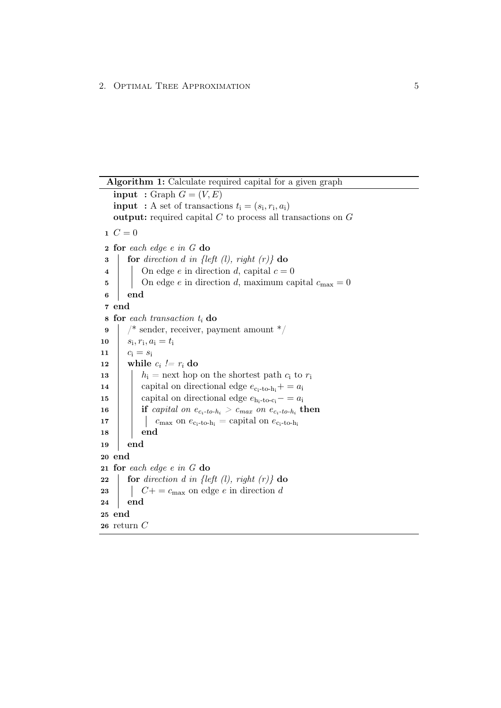```
Algorithm 1: Calculate required capital for a given graph
   input : Graph G = (V, E)input : A set of transactions t_i = (s_i, r_i, a_i)output: required capital C to process all transactions on G1 \, C = 02 for each edge e in G do
 \mathbf{3} for direction d in {left (l), right (r)} do
 4 | On edge e in direction d, capital c = 05 | On edge e in direction d, maximum capital c_{\text{max}} = 06 end
 7 end
 \bf{s} for each transaction t_i do
 9 / * sender, receiver, payment amount */10 s_i, r_i, a_i = t_i11 c_i = s_i12 while c_i := r_i do
13 | h_i = next hop on the shortest path c_i to r_i14 \ \ capital on directional edge e_{c_i-to-h_i} + = a_i15 | capital on directional edge e_{h_i-to-c_i} = a_i\begin{array}{|c|c|c|c|c|}\hline \textbf{16} & \textbf{if } capital \ on \ e_{c_i\text{-}to\text{-}h_i} > c_{max} \ on \ e_{c_i\text{-}to\text{-}h_i} \ \textbf{then} \end{array}17 | \log c<sub>max</sub> on e_{c_i-to-h_i} = capital on e_{c_i-to-h_i}18 | end
19 end
20 end
21 for each edge e in G do
22 for direction d in {left (l), right (r)} do
23 | C+ = c_{\text{max}} on edge e in direction d
24 end
25 end
26 return C
```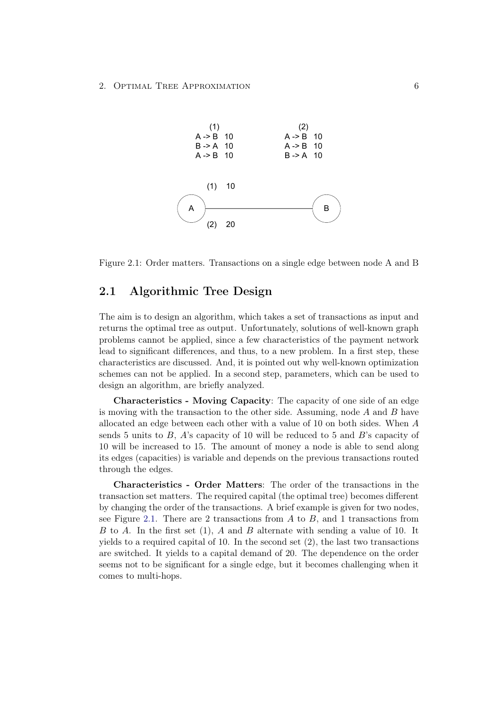<span id="page-9-1"></span>

Figure 2.1: Order matters. Transactions on a single edge between node A and B

## <span id="page-9-0"></span>2.1 Algorithmic Tree Design

The aim is to design an algorithm, which takes a set of transactions as input and returns the optimal tree as output. Unfortunately, solutions of well-known graph problems cannot be applied, since a few characteristics of the payment network lead to significant differences, and thus, to a new problem. In a first step, these characteristics are discussed. And, it is pointed out why well-known optimization schemes can not be applied. In a second step, parameters, which can be used to design an algorithm, are briefly analyzed.

Characteristics - Moving Capacity: The capacity of one side of an edge is moving with the transaction to the other side. Assuming, node  $A$  and  $B$  have allocated an edge between each other with a value of 10 on both sides. When A sends 5 units to  $B$ ,  $A$ 's capacity of 10 will be reduced to 5 and  $B$ 's capacity of 10 will be increased to 15. The amount of money a node is able to send along its edges (capacities) is variable and depends on the previous transactions routed through the edges.

Characteristics - Order Matters: The order of the transactions in the transaction set matters. The required capital (the optimal tree) becomes different by changing the order of the transactions. A brief example is given for two nodes, see Figure [2.1.](#page-9-1) There are 2 transactions from  $A$  to  $B$ , and 1 transactions from B to A. In the first set  $(1)$ , A and B alternate with sending a value of 10. It yields to a required capital of 10. In the second set (2), the last two transactions are switched. It yields to a capital demand of 20. The dependence on the order seems not to be significant for a single edge, but it becomes challenging when it comes to multi-hops.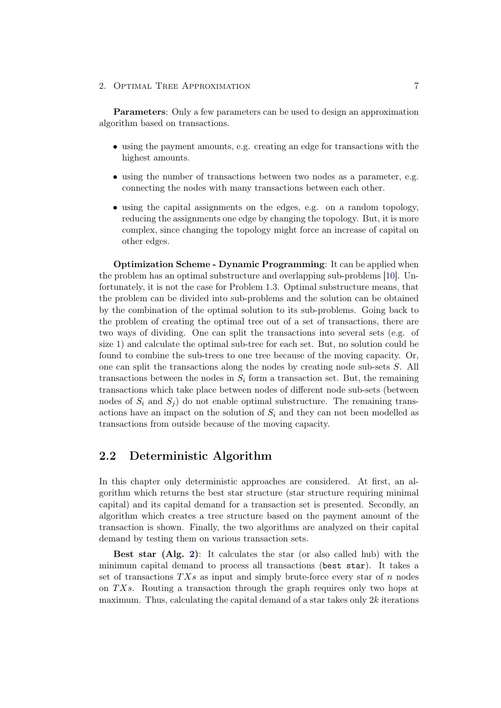2. OPTIMAL TREE APPROXIMATION 7

Parameters: Only a few parameters can be used to design an approximation algorithm based on transactions.

- using the payment amounts, e.g. creating an edge for transactions with the highest amounts.
- using the number of transactions between two nodes as a parameter, e.g. connecting the nodes with many transactions between each other.
- using the capital assignments on the edges, e.g. on a random topology, reducing the assignments one edge by changing the topology. But, it is more complex, since changing the topology might force an increase of capital on other edges.

Optimization Scheme - Dynamic Programming: It can be applied when the problem has an optimal substructure and overlapping sub-problems [\[10\]](#page-36-10). Unfortunately, it is not the case for Problem [1.3.](#page-6-0) Optimal substructure means, that the problem can be divided into sub-problems and the solution can be obtained by the combination of the optimal solution to its sub-problems. Going back to the problem of creating the optimal tree out of a set of transactions, there are two ways of dividing. One can split the transactions into several sets (e.g. of size 1) and calculate the optimal sub-tree for each set. But, no solution could be found to combine the sub-trees to one tree because of the moving capacity. Or, one can split the transactions along the nodes by creating node sub-sets S. All transactions between the nodes in  $S_i$  form a transaction set. But, the remaining transactions which take place between nodes of different node sub-sets (between nodes of  $S_i$  and  $S_j$  do not enable optimal substructure. The remaining transactions have an impact on the solution of  $S_i$  and they can not been modelled as transactions from outside because of the moving capacity.

### <span id="page-10-0"></span>2.2 Deterministic Algorithm

In this chapter only deterministic approaches are considered. At first, an algorithm which returns the best star structure (star structure requiring minimal capital) and its capital demand for a transaction set is presented. Secondly, an algorithm which creates a tree structure based on the payment amount of the transaction is shown. Finally, the two algorithms are analyzed on their capital demand by testing them on various transaction sets.

Best star (Alg. [2\)](#page-11-0): It calculates the star (or also called hub) with the minimum capital demand to process all transactions (best star). It takes a set of transactions  $TXs$  as input and simply brute-force every star of n nodes on  $TXs$ . Routing a transaction through the graph requires only two hops at maximum. Thus, calculating the capital demand of a star takes only  $2k$  iterations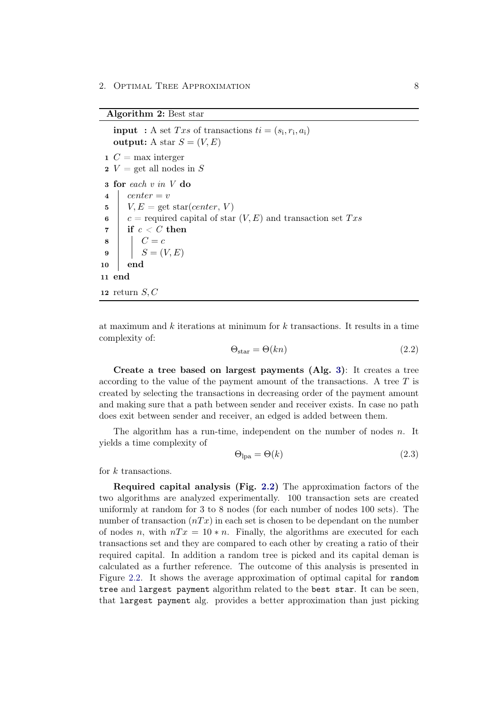Algorithm 2: Best star

**input** : A set Txs of transactions  $ti = (s_i, r_i, a_i)$ output: A star  $S = (V, E)$ 1  $C = \max$  interger 2  $V =$  get all nodes in S 3 for each v in V do 4 center =  $v$  $5 \mid V, E = \text{get star}(center, V)$ 6 c = required capital of star  $(V, E)$  and transaction set Txs  $\tau$  if  $c < C$  then  $8 \mid C = c$ 9 |  $S = (V, E)$  $10$  end 11 end 12 return  $S, C$ 

<span id="page-11-0"></span>at maximum and k iterations at minimum for  $k$  transactions. It results in a time complexity of:

$$
\Theta_{\text{star}} = \Theta(kn) \tag{2.2}
$$

Create a tree based on largest payments (Alg. [3\)](#page-12-1): It creates a tree according to the value of the payment amount of the transactions. A tree  $T$  is created by selecting the transactions in decreasing order of the payment amount and making sure that a path between sender and receiver exists. In case no path does exit between sender and receiver, an edged is added between them.

The algorithm has a run-time, independent on the number of nodes  $n$ . It yields a time complexity of

$$
\Theta_{\text{lpa}} = \Theta(k) \tag{2.3}
$$

for k transactions.

Required capital analysis (Fig. [2.2\)](#page-13-0) The approximation factors of the two algorithms are analyzed experimentally. 100 transaction sets are created uniformly at random for 3 to 8 nodes (for each number of nodes 100 sets). The number of transaction  $(nTx)$  in each set is chosen to be dependant on the number of nodes n, with  $nTx = 10*n$ . Finally, the algorithms are executed for each transactions set and they are compared to each other by creating a ratio of their required capital. In addition a random tree is picked and its capital deman is calculated as a further reference. The outcome of this analysis is presented in Figure [2.2.](#page-13-0) It shows the average approximation of optimal capital for random tree and largest payment algorithm related to the best star. It can be seen, that largest payment alg. provides a better approximation than just picking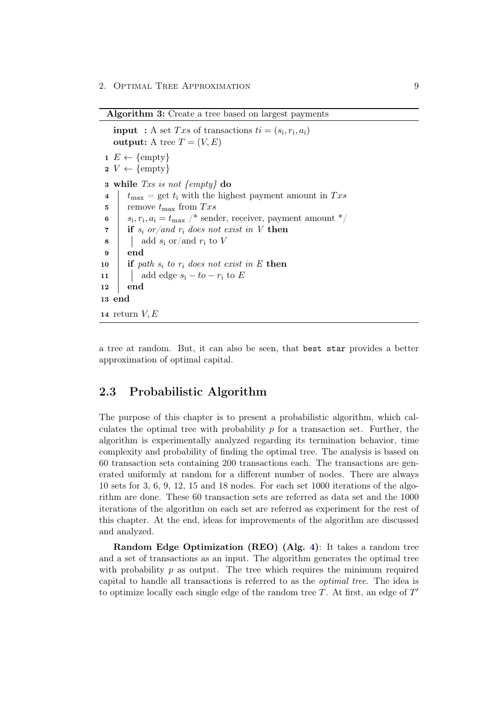Algorithm 3: Create a tree based on largest payments

**input** : A set Txs of transactions  $ti = (s_i, r_i, a_i)$ output: A tree  $T = (V, E)$  $1 E \leftarrow \{\text{empty}\}$  $2 V \leftarrow \{\text{empty}\}\$ 3 while Txs is not  $\{empty\}$  do 4  $t_{\text{max}}$  = get  $t_i$  with the highest payment amount in Txs 5 remove  $t_{\text{max}}$  from  $Txs$ 6  $\, s_i, r_i, a_i = t_{\text{max}} \,$  /\* sender, receiver, payment amount \*/ 7 if  $s_i$  or/and  $r_i$  does not exist in V then 8 |  $\Box$  add  $s_i$  or/and  $r_i$  to V 9 end 10 if path  $s_i$  to  $r_i$  does not exist in E then 11 | add edge  $s_i - to - r_i$  to E 12 end 13 end 14 return  $V, E$ 

<span id="page-12-1"></span>a tree at random. But, it can also be seen, that best star provides a better approximation of optimal capital.

## <span id="page-12-0"></span>2.3 Probabilistic Algorithm

The purpose of this chapter is to present a probabilistic algorithm, which calculates the optimal tree with probability  $p$  for a transaction set. Further, the algorithm is experimentally analyzed regarding its termination behavior, time complexity and probability of finding the optimal tree. The analysis is based on 60 transaction sets containing 200 transactions each. The transactions are generated uniformly at random for a different number of nodes. There are always 10 sets for 3, 6, 9, 12, 15 and 18 nodes. For each set 1000 iterations of the algorithm are done. These 60 transaction sets are referred as data set and the 1000 iterations of the algorithm on each set are referred as experiment for the rest of this chapter. At the end, ideas for improvements of the algorithm are discussed and analyzed.

Random Edge Optimization (REO) (Alg. [4\)](#page-14-0): It takes a random tree and a set of transactions as an input. The algorithm generates the optimal tree with probability  $p$  as output. The tree which requires the minimum required capital to handle all transactions is referred to as the optimal tree. The idea is to optimize locally each single edge of the random tree  $T$ . At first, an edge of  $T'$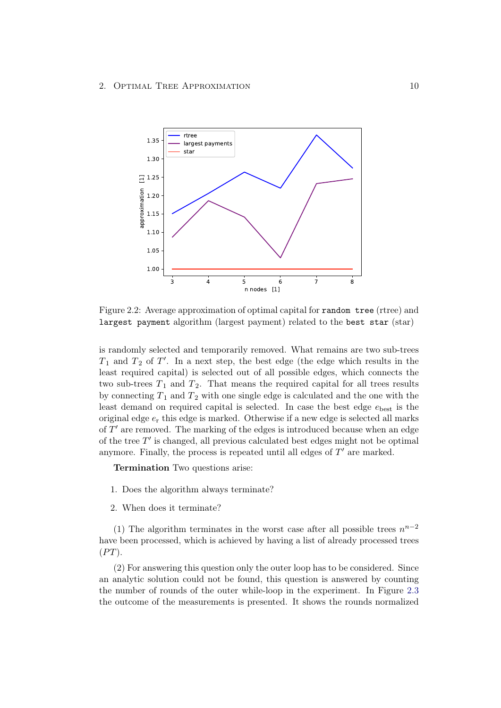<span id="page-13-0"></span>

Figure 2.2: Average approximation of optimal capital for random tree (rtree) and largest payment algorithm (largest payment) related to the best star (star)

is randomly selected and temporarily removed. What remains are two sub-trees  $T_1$  and  $T_2$  of  $T'$ . In a next step, the best edge (the edge which results in the least required capital) is selected out of all possible edges, which connects the two sub-trees  $T_1$  and  $T_2$ . That means the required capital for all trees results by connecting  $T_1$  and  $T_2$  with one single edge is calculated and the one with the least demand on required capital is selected. In case the best edge  $e_{best}$  is the original edge  $e_r$  this edge is marked. Otherwise if a new edge is selected all marks of  $T'$  are removed. The marking of the edges is introduced because when an edge of the tree  $T'$  is changed, all previous calculated best edges might not be optimal anymore. Finally, the process is repeated until all edges of  $T'$  are marked.

Termination Two questions arise:

- 1. Does the algorithm always terminate?
- 2. When does it terminate?

(1) The algorithm terminates in the worst case after all possible trees  $n^{n-2}$ have been processed, which is achieved by having a list of already processed trees  $(PT)$ .

(2) For answering this question only the outer loop has to be considered. Since an analytic solution could not be found, this question is answered by counting the number of rounds of the outer while-loop in the experiment. In Figure [2.3](#page-15-0) the outcome of the measurements is presented. It shows the rounds normalized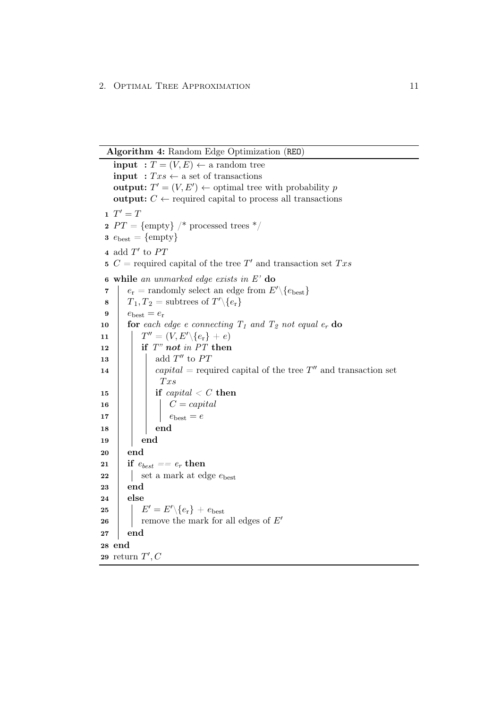Algorithm 4: Random Edge Optimization (REO)

<span id="page-14-0"></span>**input** :  $T = (V, E) \leftarrow$  a random tree **input** :  $Txs \leftarrow$  a set of transactions **output:**  $T' = (V, E') \leftarrow$  optimal tree with probability p output:  $C \leftarrow$  required capital to process all transactions  $1 \tT' = T$ 2  $PT = \{\text{empty}\}\!/$  \* processed trees \*/ 3  $e_{\text{best}} = \{\text{empty}\}\$ 4 add  $T'$  to  $PT$ 5  $C$  = required capital of the tree T' and transaction set Txs 6 while an unmarked edge exists in E' do 7 er = randomly select an edge from  $E' \setminus \{e_{\text{best}}\}$  $\begin{aligned} \mathbf{8} \quad &| \quad T_1, T_2 = \text{subtrees of } T' \backslash \{e_\mathrm{r}\} \end{aligned}$ 9  $e_{\text{best}} = e_{\text{r}}$ 10 **for** each edge e connecting  $T_1$  and  $T_2$  not equal  $e_r$  do 11 T <sup>00</sup> = (V, E0\{er} + e)  $12$  if T" not in PT then 13  $\vert$   $\vert$  add  $T''$  to PT 14  $\Box$  capital = required capital of the tree T'' and transaction set  $Txs$ 15 if  $capital < C$  then  $16$  | |  $C = capital$ 17 | | |  $e_{\text{best}} = e$  $18$  | | end  $19$  end  $20$  end 21 if  $e_{best} == e_r$  then 22 | set a mark at edge  $e_{\text{best}}$ 23 end  $24$  else 25  $\left| E^{\prime} = E^{\prime} \backslash \{e_{\rm r}\} + e_{\rm best} \right|$ 26 memove the mark for all edges of  $E'$ 27 end 28 end 29 return  $T', C$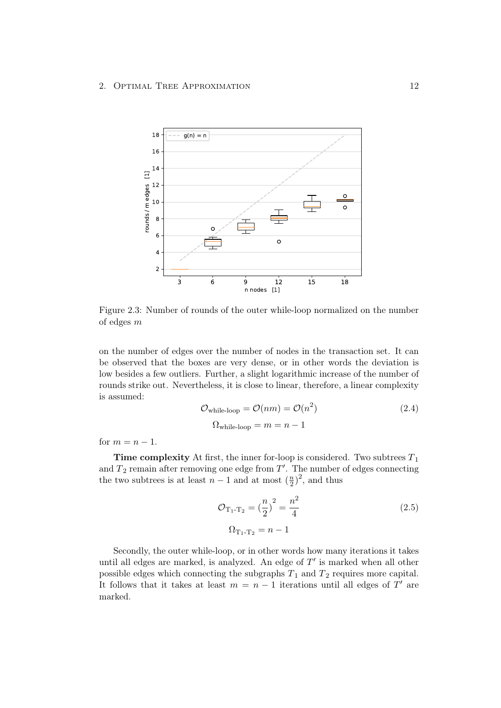<span id="page-15-0"></span>

Figure 2.3: Number of rounds of the outer while-loop normalized on the number of edges m

on the number of edges over the number of nodes in the transaction set. It can be observed that the boxes are very dense, or in other words the deviation is low besides a few outliers. Further, a slight logarithmic increase of the number of rounds strike out. Nevertheless, it is close to linear, therefore, a linear complexity is assumed:

$$
\mathcal{O}_{\text{while-loop}} = \mathcal{O}(nm) = \mathcal{O}(n^2)
$$
\n
$$
\Omega_{\text{while-loop}} = m = n - 1
$$
\n(2.4)

for  $m = n - 1$ .

**Time complexity** At first, the inner for-loop is considered. Two subtrees  $T_1$ and  $T_2$  remain after removing one edge from  $T'$ . The number of edges connecting the two subtrees is at least  $n-1$  and at most  $(\frac{n}{2})$  $(\frac{n}{2})^2$ , and thus

$$
\mathcal{O}_{T_1 - T_2} = \left(\frac{n}{2}\right)^2 = \frac{n^2}{4}
$$
\n
$$
\Omega_{T_1 - T_2} = n - 1
$$
\n(2.5)

Secondly, the outer while-loop, or in other words how many iterations it takes until all edges are marked, is analyzed. An edge of  $T'$  is marked when all other possible edges which connecting the subgraphs  $T_1$  and  $T_2$  requires more capital. It follows that it takes at least  $m = n - 1$  iterations until all edges of T' are marked.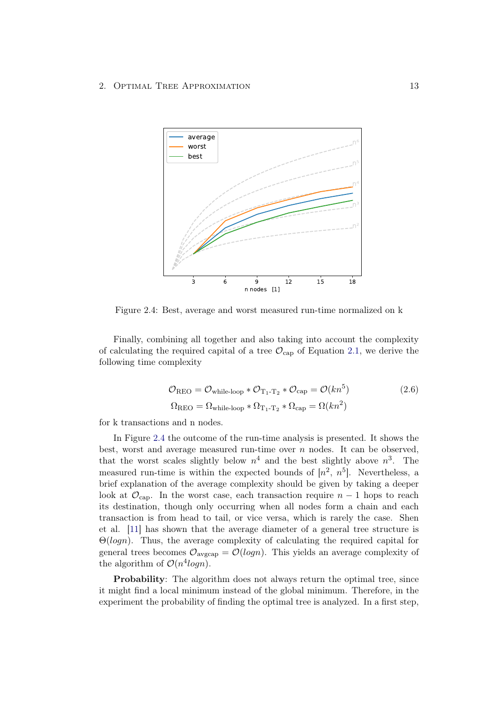<span id="page-16-0"></span>

Figure 2.4: Best, average and worst measured run-time normalized on k

Finally, combining all together and also taking into account the complexity of calculating the required capital of a tree  $\mathcal{O}_{\mathsf{cap}}$  of Equation [2.1,](#page-7-1) we derive the following time complexity

<span id="page-16-1"></span>
$$
\mathcal{O}_{\text{REO}} = \mathcal{O}_{\text{while-loop}} * \mathcal{O}_{T_1 - T_2} * \mathcal{O}_{\text{cap}} = \mathcal{O}(kn^5)
$$
\n
$$
\Omega_{\text{REO}} = \Omega_{\text{while-loop}} * \Omega_{T_1 - T_2} * \Omega_{\text{cap}} = \Omega(kn^2)
$$
\n(2.6)

for k transactions and n nodes.

In Figure [2.4](#page-16-0) the outcome of the run-time analysis is presented. It shows the best, worst and average measured run-time over  $n$  nodes. It can be observed, that the worst scales slightly below  $n^4$  and the best slightly above  $n^3$ . The measured run-time is within the expected bounds of  $[n^2, n^5]$ . Nevertheless, a brief explanation of the average complexity should be given by taking a deeper look at  $\mathcal{O}_{\text{cap}}$ . In the worst case, each transaction require  $n-1$  hops to reach its destination, though only occurring when all nodes form a chain and each transaction is from head to tail, or vice versa, which is rarely the case. Shen et al. [\[11\]](#page-36-11) has shown that the average diameter of a general tree structure is  $\Theta(logn)$ . Thus, the average complexity of calculating the required capital for general trees becomes  $\mathcal{O}_{\text{avgcap}} = \mathcal{O}(logn)$ . This yields an average complexity of the algorithm of  $\mathcal{O}(n^4 log n)$ .

Probability: The algorithm does not always return the optimal tree, since it might find a local minimum instead of the global minimum. Therefore, in the experiment the probability of finding the optimal tree is analyzed. In a first step,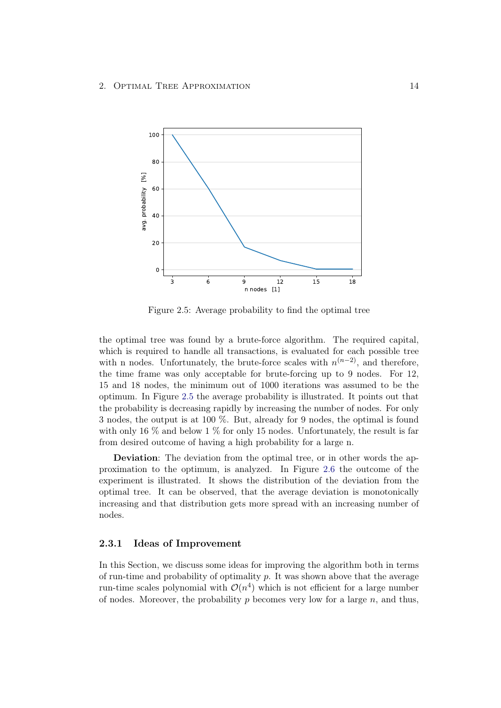<span id="page-17-1"></span>

Figure 2.5: Average probability to find the optimal tree

the optimal tree was found by a brute-force algorithm. The required capital, which is required to handle all transactions, is evaluated for each possible tree with n nodes. Unfortunately, the brute-force scales with  $n^{(n-2)}$ , and therefore, the time frame was only acceptable for brute-forcing up to 9 nodes. For 12, 15 and 18 nodes, the minimum out of 1000 iterations was assumed to be the optimum. In Figure [2.5](#page-17-1) the average probability is illustrated. It points out that the probability is decreasing rapidly by increasing the number of nodes. For only 3 nodes, the output is at 100 %. But, already for 9 nodes, the optimal is found with only 16  $\%$  and below 1  $\%$  for only 15 nodes. Unfortunately, the result is far from desired outcome of having a high probability for a large n.

Deviation: The deviation from the optimal tree, or in other words the approximation to the optimum, is analyzed. In Figure [2.6](#page-18-0) the outcome of the experiment is illustrated. It shows the distribution of the deviation from the optimal tree. It can be observed, that the average deviation is monotonically increasing and that distribution gets more spread with an increasing number of nodes.

#### <span id="page-17-0"></span>2.3.1 Ideas of Improvement

In this Section, we discuss some ideas for improving the algorithm both in terms of run-time and probability of optimality  $p$ . It was shown above that the average run-time scales polynomial with  $\mathcal{O}(n^4)$  which is not efficient for a large number of nodes. Moreover, the probability p becomes very low for a large  $n$ , and thus,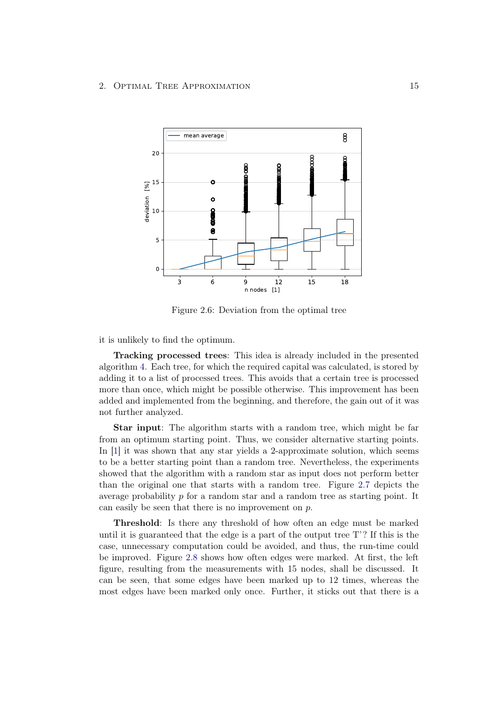<span id="page-18-0"></span>

Figure 2.6: Deviation from the optimal tree

it is unlikely to find the optimum.

Tracking processed trees: This idea is already included in the presented algorithm [4.](#page-14-0) Each tree, for which the required capital was calculated, is stored by adding it to a list of processed trees. This avoids that a certain tree is processed more than once, which might be possible otherwise. This improvement has been added and implemented from the beginning, and therefore, the gain out of it was not further analyzed.

Star input: The algorithm starts with a random tree, which might be far from an optimum starting point. Thus, we consider alternative starting points. In [\[1\]](#page-36-0) it was shown that any star yields a 2-approximate solution, which seems to be a better starting point than a random tree. Nevertheless, the experiments showed that the algorithm with a random star as input does not perform better than the original one that starts with a random tree. Figure [2.7](#page-19-0) depicts the average probability p for a random star and a random tree as starting point. It can easily be seen that there is no improvement on  $p$ .

Threshold: Is there any threshold of how often an edge must be marked until it is guaranteed that the edge is a part of the output tree T'? If this is the case, unnecessary computation could be avoided, and thus, the run-time could be improved. Figure [2.8](#page-20-1) shows how often edges were marked. At first, the left figure, resulting from the measurements with 15 nodes, shall be discussed. It can be seen, that some edges have been marked up to 12 times, whereas the most edges have been marked only once. Further, it sticks out that there is a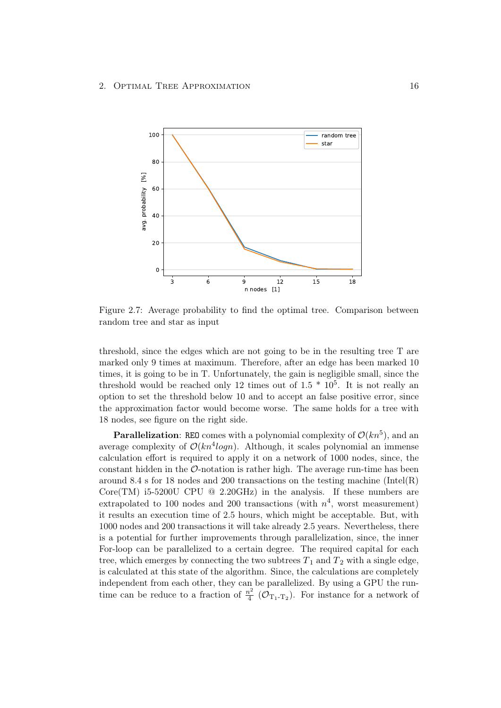<span id="page-19-0"></span>

Figure 2.7: Average probability to find the optimal tree. Comparison between random tree and star as input

threshold, since the edges which are not going to be in the resulting tree T are marked only 9 times at maximum. Therefore, after an edge has been marked 10 times, it is going to be in T. Unfortunately, the gain is negligible small, since the threshold would be reached only 12 times out of  $1.5 * 10<sup>5</sup>$ . It is not really an option to set the threshold below 10 and to accept an false positive error, since the approximation factor would become worse. The same holds for a tree with 18 nodes, see figure on the right side.

**Parallelization:** REO comes with a polynomial complexity of  $\mathcal{O}(kn^5)$ , and an average complexity of  $\mathcal{O}(kn^4 log n)$ . Although, it scales polynomial an immense calculation effort is required to apply it on a network of 1000 nodes, since, the constant hidden in the  $\mathcal{O}$ -notation is rather high. The average run-time has been around 8.4 s for 18 nodes and 200 transactions on the testing machine (Intel(R) Core(TM) i5-5200U CPU  $@$  2.20GHz) in the analysis. If these numbers are extrapolated to 100 nodes and 200 transactions (with  $n^4$ , worst measurement) it results an execution time of 2.5 hours, which might be acceptable. But, with 1000 nodes and 200 transactions it will take already 2.5 years. Nevertheless, there is a potential for further improvements through parallelization, since, the inner For-loop can be parallelized to a certain degree. The required capital for each tree, which emerges by connecting the two subtrees  $T_1$  and  $T_2$  with a single edge, is calculated at this state of the algorithm. Since, the calculations are completely independent from each other, they can be parallelized. By using a GPU the runtime can be reduce to a fraction of  $\frac{n^2}{4}$  $\frac{v^2}{4}$  ( $\mathcal{O}_{T_1-T_2}$ ). For instance for a network of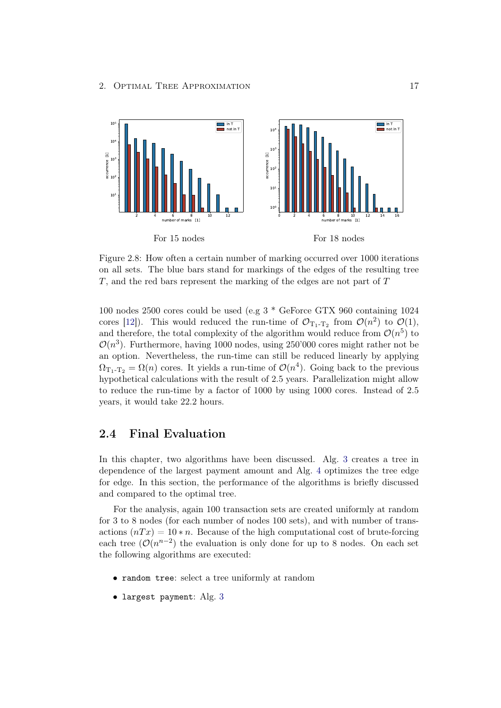<span id="page-20-1"></span>

Figure 2.8: How often a certain number of marking occurred over 1000 iterations on all sets. The blue bars stand for markings of the edges of the resulting tree T, and the red bars represent the marking of the edges are not part of T

100 nodes 2500 cores could be used (e.g 3 \* GeForce GTX 960 containing 1024 cores [\[12\]](#page-36-12)). This would reduced the run-time of  $\mathcal{O}_{T_1-T_2}$  from  $\mathcal{O}(n^2)$  to  $\mathcal{O}(1)$ , and therefore, the total complexity of the algorithm would reduce from  $\mathcal{O}(n^5)$  to  $\mathcal{O}(n^3)$ . Furthermore, having 1000 nodes, using 250'000 cores might rather not be an option. Nevertheless, the run-time can still be reduced linearly by applying  $\Omega_{\text{T}_1-\text{T}_2} = \Omega(n)$  cores. It yields a run-time of  $\mathcal{O}(n^4)$ . Going back to the previous hypothetical calculations with the result of 2.5 years. Parallelization might allow to reduce the run-time by a factor of 1000 by using 1000 cores. Instead of 2.5 years, it would take 22.2 hours.

### <span id="page-20-0"></span>2.4 Final Evaluation

In this chapter, two algorithms have been discussed. Alg. [3](#page-12-1) creates a tree in dependence of the largest payment amount and Alg. [4](#page-14-0) optimizes the tree edge for edge. In this section, the performance of the algorithms is briefly discussed and compared to the optimal tree.

For the analysis, again 100 transaction sets are created uniformly at random for 3 to 8 nodes (for each number of nodes 100 sets), and with number of transactions  $(nTx) = 10*n$ . Because of the high computational cost of brute-forcing each tree  $(\mathcal{O}(n^{n-2})$  the evaluation is only done for up to 8 nodes. On each set the following algorithms are executed:

- random tree: select a tree uniformly at random
- largest payment: Alg. [3](#page-12-1)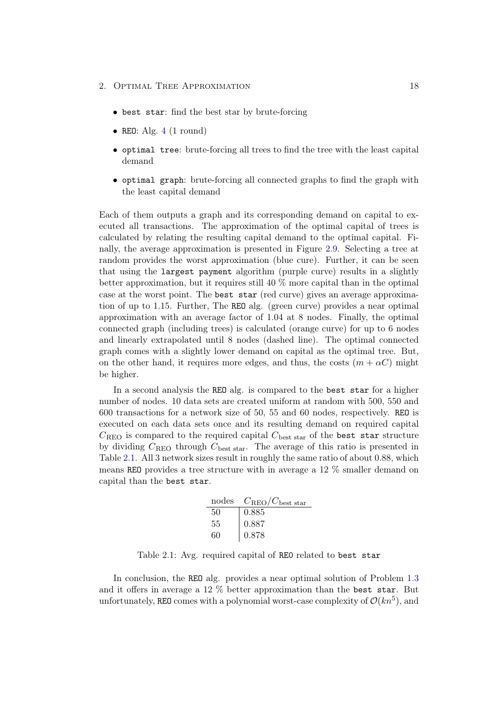- best star: find the best star by brute-forcing
- REO: Alg.  $4(1$  $4(1$  round)
- optimal tree: brute-forcing all trees to find the tree with the least capital demand
- optimal graph: brute-forcing all connected graphs to find the graph with the least capital demand

Each of them outputs a graph and its corresponding demand on capital to executed all transactions. The approximation of the optimal capital of trees is calculated by relating the resulting capital demand to the optimal capital. Finally, the average approximation is presented in Figure [2.9.](#page-22-0) Selecting a tree at random provides the worst approximation (blue cure). Further, it can be seen that using the largest payment algorithm (purple curve) results in a slightly better approximation, but it requires still 40 % more capital than in the optimal case at the worst point. The best star (red curve) gives an average approximation of up to 1.15. Further, The REO alg. (green curve) provides a near optimal approximation with an average factor of 1.04 at 8 nodes. Finally, the optimal connected graph (including trees) is calculated (orange curve) for up to 6 nodes and linearly extrapolated until 8 nodes (dashed line). The optimal connected graph comes with a slightly lower demand on capital as the optimal tree. But, on the other hand, it requires more edges, and thus, the costs  $(m + \alpha C)$  might be higher.

In a second analysis the REO alg. is compared to the best star for a higher number of nodes. 10 data sets are created uniform at random with 500, 550 and 600 transactions for a network size of 50, 55 and 60 nodes, respectively. REO is executed on each data sets once and its resulting demand on required capital  $C_{\text{REO}}$  is compared to the required capital  $C_{\text{best star}}$  of the best star structure by dividing  $C_{\text{REO}}$  through  $C_{\text{best star}}$ . The average of this ratio is presented in Table [2.1.](#page-21-0) All 3 network sizes result in roughly the same ratio of about 0.88, which means REO provides a tree structure with in average a 12 % smaller demand on capital than the best star.

| nodes | $C_{\rm REO}/C_{\rm best\ star}$ |
|-------|----------------------------------|
| 50    | 0.885                            |
| 55    | 0.887                            |
| 60    | 0.878                            |

<span id="page-21-0"></span>Table 2.1: Avg. required capital of RE0 related to best star

In conclusion, the REO alg. provides a near optimal solution of Problem [1.3](#page-6-0) and it offers in average a 12 % better approximation than the best star. But unfortunately, REO comes with a polynomial worst-case complexity of  $\mathcal{O}(kn^5)$ , and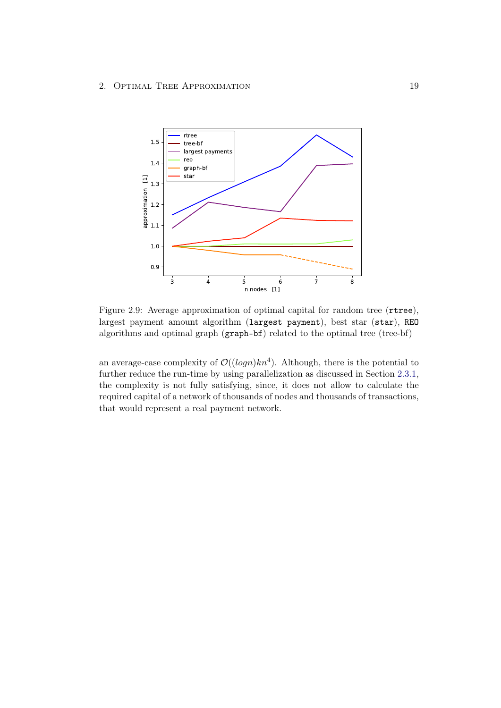<span id="page-22-0"></span>

Figure 2.9: Average approximation of optimal capital for random tree (rtree), largest payment amount algorithm (largest payment), best star (star), REO algorithms and optimal graph (graph-bf) related to the optimal tree (tree-bf)

an average-case complexity of  $\mathcal{O}((\log n)kn^4)$ . Although, there is the potential to further reduce the run-time by using parallelization as discussed in Section [2.3.1,](#page-17-0) the complexity is not fully satisfying, since, it does not allow to calculate the required capital of a network of thousands of nodes and thousands of transactions, that would represent a real payment network.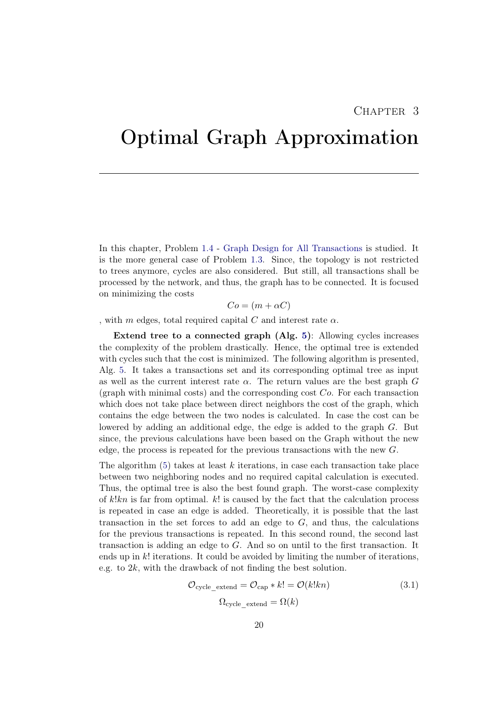## <span id="page-23-0"></span>Optimal Graph Approximation

In this chapter, Problem [1.4](#page-6-1) - [Graph Design for All Transactions](#page-6-1) is studied. It is the more general case of Problem [1.3.](#page-6-0) Since, the topology is not restricted to trees anymore, cycles are also considered. But still, all transactions shall be processed by the network, and thus, the graph has to be connected. It is focused on minimizing the costs

 $Co = (m + \alpha C)$ 

, with m edges, total required capital C and interest rate  $\alpha$ .

Extend tree to a connected graph (Alg. [5\)](#page-24-0): Allowing cycles increases the complexity of the problem drastically. Hence, the optimal tree is extended with cycles such that the cost is minimized. The following algorithm is presented, Alg. [5.](#page-24-0) It takes a transactions set and its corresponding optimal tree as input as well as the current interest rate  $\alpha$ . The return values are the best graph G (graph with minimal costs) and the corresponding cost  $Co$ . For each transaction which does not take place between direct neighbors the cost of the graph, which contains the edge between the two nodes is calculated. In case the cost can be lowered by adding an additional edge, the edge is added to the graph G. But since, the previous calculations have been based on the Graph without the new edge, the process is repeated for the previous transactions with the new G.

The algorithm  $(5)$  takes at least k iterations, in case each transaction take place between two neighboring nodes and no required capital calculation is executed. Thus, the optimal tree is also the best found graph. The worst-case complexity of  $k!kn$  is far from optimal.  $k!$  is caused by the fact that the calculation process is repeated in case an edge is added. Theoretically, it is possible that the last transaction in the set forces to add an edge to  $G$ , and thus, the calculations for the previous transactions is repeated. In this second round, the second last transaction is adding an edge to G. And so on until to the first transaction. It ends up in  $k!$  iterations. It could be avoided by limiting the number of iterations, e.g. to 2k, with the drawback of not finding the best solution.

$$
\mathcal{O}_{\text{cycle\_extend}} = \mathcal{O}_{\text{cap}} * k! = \mathcal{O}(k!kn)
$$
\n
$$
\Omega_{\text{cycle\_extend}} = \Omega(k)
$$
\n(3.1)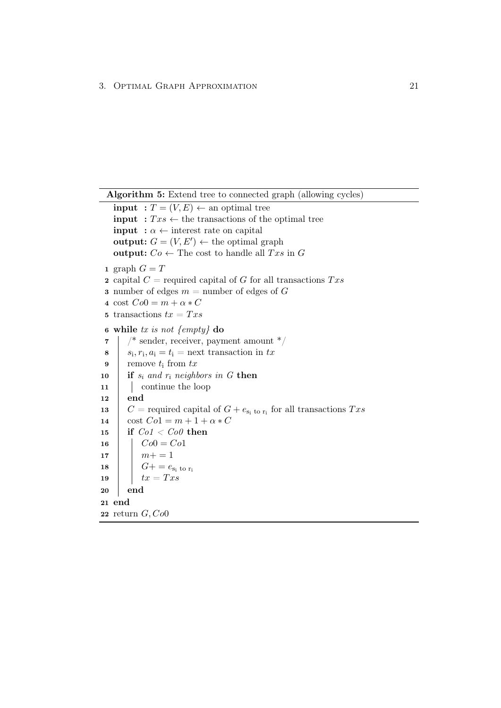```
Algorithm 5: Extend tree to connected graph (allowing cycles)
   input : T = (V, E) \leftarrow an optimal tree
   input : Txs \leftarrow the transactions of the optimal tree
   input : \alpha \leftarrow interest rate on capital
   output: G = (V, E') \leftarrow the optimal graph
   output: Co \leftarrow The cost to handle all Txs in G
 1 graph G = T2 capital C = required capital of G for all transactions Txs3 number of edges m = number of edges of G4 cost Co0 = m + \alpha * C5 transactions tx = Txs6 while tx is not \{empty\} do
 7 \mid /* sender, receiver, payment amount */
 8 s_i, r_i, a_i = t_i = next transaction in tx
 9 remove t_i from tx10 if s_i and r_i neighbors in G then
11 | continue the loop
12 end
13 C = required capital of G + e_{s_i \text{ to } r_i} for all transactions Txs14 \cos t \cdot Co1 = m + 1 + \alpha * C15 if Co1 < Co0 then
16 | Co0 = Co117 m+ = 118 G+ = e_{s_i} to r_i19 tx = Tx20 end
21 end
22 return G, Co0
```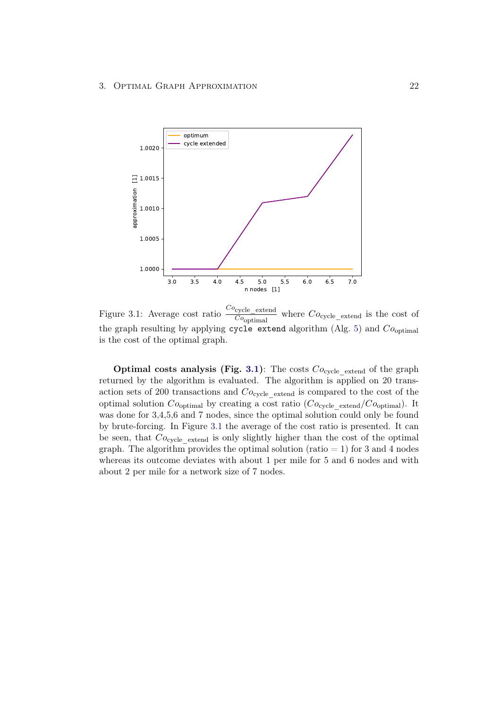<span id="page-25-0"></span>

Figure 3.1: Average cost ratio  ${{Co}_{\text{cycle}}}\_\text{extend}$  $\overline{Co_{\text{optimal}}}$ where  $Co_{\text{cycle}}$  extend is the cost of the graph resulting by applying cycle extend algorithm (Alg. [5\)](#page-24-0) and  $Co<sub>optimal</sub>$ is the cost of the optimal graph.

Optimal costs analysis (Fig. [3.1\)](#page-25-0): The costs  $Co_{\text{cycle\_extend}}$  of the graph returned by the algorithm is evaluated. The algorithm is applied on 20 transaction sets of 200 transactions and  $Co_{\text{cycle}}$  extend is compared to the cost of the optimal solution  $Co<sub>optimal</sub>$  by creating a cost ratio  $(Co<sub>cycle</sub> \text{ extend}/Co<sub>optimal</sub>)$ . It was done for 3,4,5,6 and 7 nodes, since the optimal solution could only be found by brute-forcing. In Figure [3.1](#page-25-0) the average of the cost ratio is presented. It can be seen, that  $Co_{\text{cycle}}$  extend is only slightly higher than the cost of the optimal graph. The algorithm provides the optimal solution (ratio  $= 1$ ) for 3 and 4 nodes whereas its outcome deviates with about 1 per mile for 5 and 6 nodes and with about 2 per mile for a network size of 7 nodes.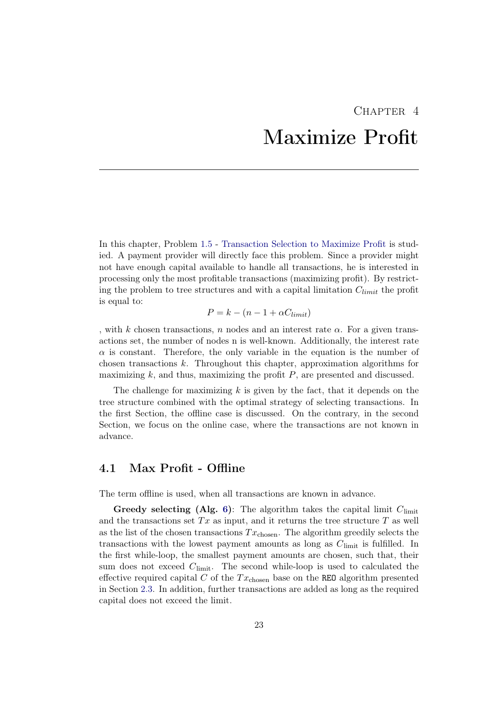# CHAPTER<sub>4</sub> Maximize Profit

<span id="page-26-0"></span>In this chapter, Problem [1.5](#page-6-2) - [Transaction Selection to Maximize Profit](#page-6-2) is studied. A payment provider will directly face this problem. Since a provider might not have enough capital available to handle all transactions, he is interested in processing only the most profitable transactions (maximizing profit). By restricting the problem to tree structures and with a capital limitation  $C_{limit}$  the profit is equal to:

$$
P = k - (n - 1 + \alpha C_{limit})
$$

, with k chosen transactions, n nodes and an interest rate  $\alpha$ . For a given transactions set, the number of nodes n is well-known. Additionally, the interest rate  $\alpha$  is constant. Therefore, the only variable in the equation is the number of chosen transactions k. Throughout this chapter, approximation algorithms for maximizing  $k$ , and thus, maximizing the profit  $P$ , are presented and discussed.

The challenge for maximizing  $k$  is given by the fact, that it depends on the tree structure combined with the optimal strategy of selecting transactions. In the first Section, the offline case is discussed. On the contrary, in the second Section, we focus on the online case, where the transactions are not known in advance.

## <span id="page-26-1"></span>4.1 Max Profit - Offline

The term offline is used, when all transactions are known in advance.

Greedy selecting (Alg. [6\)](#page-27-0): The algorithm takes the capital limit  $C_{\text{limit}}$ and the transactions set  $Tx$  as input, and it returns the tree structure  $T$  as well as the list of the chosen transactions  $Tx_{chosen}$ . The algorithm greedily selects the transactions with the lowest payment amounts as long as  $C_{\text{limit}}$  is fulfilled. In the first while-loop, the smallest payment amounts are chosen, such that, their sum does not exceed  $C<sub>limit</sub>$ . The second while-loop is used to calculated the effective required capital C of the  $Tx_{\text{chosen}}$  base on the REO algorithm presented in Section [2.3.](#page-12-0) In addition, further transactions are added as long as the required capital does not exceed the limit.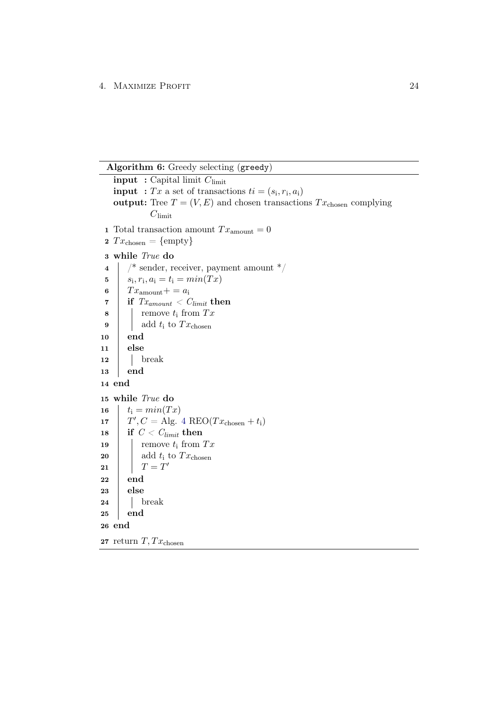Algorithm 6: Greedy selecting (greedy)

<span id="page-27-0"></span>**input** : Capital limit  $C_{\text{limit}}$ **input** : Tx a set of transactions  $ti = (s_i, r_i, a_i)$ output: Tree  $T = (V, E)$  and chosen transactions  $Tx_{\text{chosen}}$  complying  $C_{\text{limit}}$ 1 Total transaction amount  $Tx_{\text{amount}} = 0$ 2  $Tx_{\text{chosen}} = \{\text{empty}\}\$ 3 while True do  $4 \mid$  /\* sender, receiver, payment amount \*/ 5  $s_i, r_i, a_i = t_i = min(Tx)$ 6  $Tx_{\text{amount}} + a_i$  $\begin{array}{c|c|c|c} \mathbf{7} & \mathbf{if} & \mathit{Tx}_{amount} < \mathit{C_{limit}} \end{array}$  $\mathbf{8}$  | remove  $t_i$  from  $Tx$  $\mathbf{9}$  | add  $t_i$  to  $Tx_{\text{chosen}}$ 10 end  $11$  else  $12$  break 13 end 14 end 15 while True do 16  $t_i = min(Tx)$ 17  $T', C = \text{Alg. } 4 \text{ RED}(Tx_{\text{chosen}} + t_i)$  $T', C = \text{Alg. } 4 \text{ RED}(Tx_{\text{chosen}} + t_i)$  $T', C = \text{Alg. } 4 \text{ RED}(Tx_{\text{chosen}} + t_i)$ 18 if  $C < C_{limit}$  then 19 | remove  $t_i$  from  $Tx$ 20 add t<sub>i</sub> to  $Tx_{\text{chosen}}$  $21$   $T = T'$ 22 end 23 else  $24$  break 25 end 26 end 27 return  $T, Tx_{\text{chosen}}$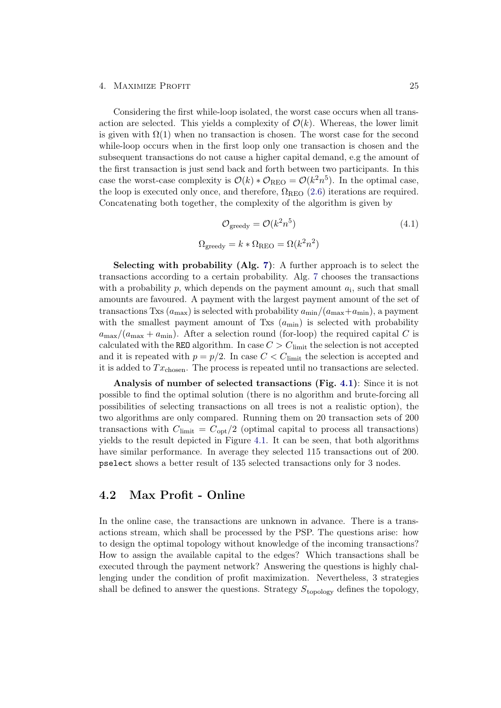#### 4. MAXIMIZE PROFIT 25

Considering the first while-loop isolated, the worst case occurs when all transaction are selected. This yields a complexity of  $\mathcal{O}(k)$ . Whereas, the lower limit is given with  $\Omega(1)$  when no transaction is chosen. The worst case for the second while-loop occurs when in the first loop only one transaction is chosen and the subsequent transactions do not cause a higher capital demand, e.g the amount of the first transaction is just send back and forth between two participants. In this case the worst-case complexity is  $\mathcal{O}(k) * \mathcal{O}_{\text{REO}} = \mathcal{O}(k^2 n^5)$ . In the optimal case, the loop is executed only once, and therefore,  $\Omega_{\text{REO}}$  [\(2.6\)](#page-16-1) iterations are required. Concatenating both together, the complexity of the algorithm is given by

$$
\mathcal{O}_{\text{greedy}} = \mathcal{O}(k^2 n^5) \tag{4.1}
$$
  

$$
\Omega_{\text{greedy}} = k * \Omega_{\text{REO}} = \Omega(k^2 n^2)
$$

Selecting with probability (Alg. [7\)](#page-29-0): A further approach is to select the transactions according to a certain probability. Alg. [7](#page-29-0) chooses the transactions with a probability  $p$ , which depends on the payment amount  $a_i$ , such that small amounts are favoured. A payment with the largest payment amount of the set of transactions Txs  $(a_{\text{max}})$  is selected with probability  $a_{\text{min}}/(a_{\text{max}}+a_{\text{min}})$ , a payment with the smallest payment amount of Txs  $(a_{\min})$  is selected with probability  $a_{\text{max}}/(a_{\text{max}} + a_{\text{min}})$ . After a selection round (for-loop) the required capital C is calculated with the REO algorithm. In case  $C > C_{\text{limit}}$  the selection is not accepted and it is repeated with  $p = p/2$ . In case  $C < C_{\text{limit}}$  the selection is accepted and it is added to  $Tx_{\text{chosen}}$ . The process is repeated until no transactions are selected.

Analysis of number of selected transactions (Fig. [4.1\)](#page-30-0): Since it is not possible to find the optimal solution (there is no algorithm and brute-forcing all possibilities of selecting transactions on all trees is not a realistic option), the two algorithms are only compared. Running them on 20 transaction sets of 200 transactions with  $C_{\text{limit}} = C_{\text{opt}}/2$  (optimal capital to process all transactions) yields to the result depicted in Figure [4.1.](#page-30-0) It can be seen, that both algorithms have similar performance. In average they selected 115 transactions out of 200. pselect shows a better result of 135 selected transactions only for 3 nodes.

### <span id="page-28-0"></span>4.2 Max Profit - Online

In the online case, the transactions are unknown in advance. There is a transactions stream, which shall be processed by the PSP. The questions arise: how to design the optimal topology without knowledge of the incoming transactions? How to assign the available capital to the edges? Which transactions shall be executed through the payment network? Answering the questions is highly challenging under the condition of profit maximization. Nevertheless, 3 strategies shall be defined to answer the questions. Strategy  $S_{\text{topology}}$  defines the topology,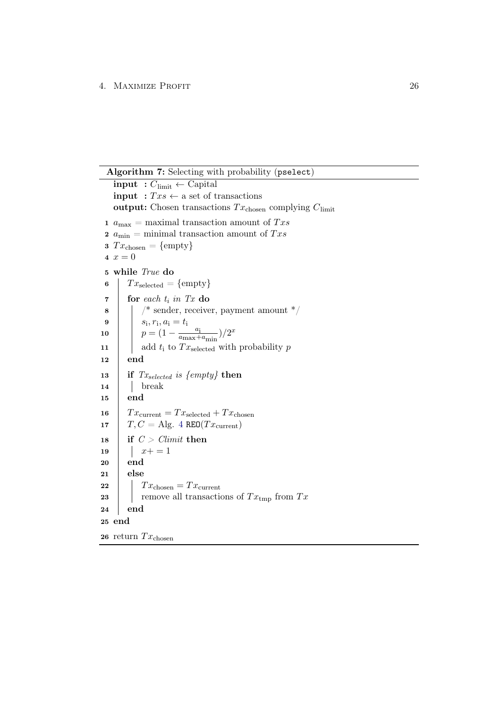#### 4. MAXIMIZE PROFIT 26

Algorithm 7: Selecting with probability (pselect)

<span id="page-29-0"></span>input :  $C_{\text{limit}} \leftarrow$  Capital input :  $Txs \leftarrow$  a set of transactions output: Chosen transactions  $Tx_{\text{chosen}}$  complying  $C_{\text{limit}}$ 1  $\sqrt{a_{\rm max}}$  = maximal transaction amount of  $Txs$ 2  $a_{\text{min}}$  = minimal transaction amount of  $Txs$ 3  $Tx_{\text{chosen}} = \{\text{empty}\}\$ 4  $x = 0$ 5 while True do 6  $Tx_{selected} = \{empty\}$  $\tau$  for each  $t_i$  in Tx do  $\bullet$  | |  $\prime^*$  sender, receiver, payment amount  $\prime$ **9**  $s_i, r_i, a_i = t_i$ 10  $p = (1 - \frac{a_i}{a_{\text{max}}+1})$  $\frac{a_{\text{i}}}{a_{\text{max}}+a_{\text{min}}}/2^x$ 11 | add  $t_i$  to  $Tx_{\text{selected}}$  with probability p 12 end 13 if  $Tx_{selected}$  is {empty} then  $14$  | break 15 end 16  $T x_{\text{current}} = T x_{\text{selected}} + T x_{\text{chosen}}$ 17 |  $T, C = \text{Alg. } 4 \text{ RED}(Tx_{\text{current}})$  $T, C = \text{Alg. } 4 \text{ RED}(Tx_{\text{current}})$  $T, C = \text{Alg. } 4 \text{ RED}(Tx_{\text{current}})$ 18 if  $C > \text{Climit}$  then 19  $x+=1$ 20 end 21 else 22  $\mid$   $Tx_{\text{chosen}} = Tx_{\text{current}}$ 23 | remove all transactions of  $Tx_{\text{tmp}}$  from  $Tx$ 24 end 25 end 26 return  $Tx_{\text{chosen}}$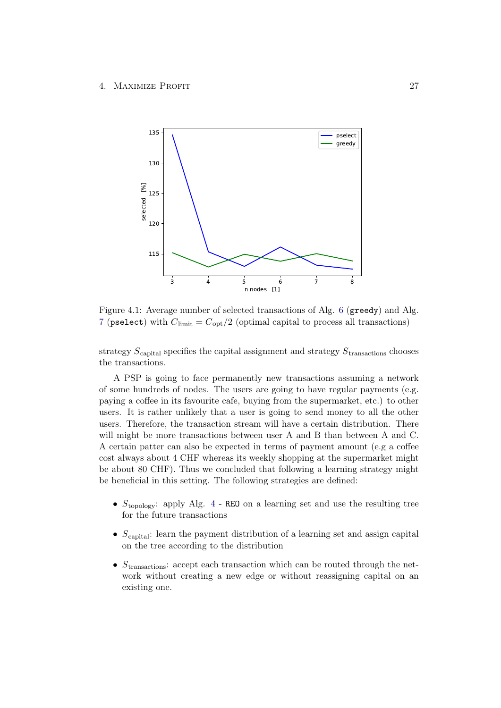<span id="page-30-0"></span>

Figure 4.1: Average number of selected transactions of Alg. [6](#page-27-0) (greedy) and Alg. [7](#page-29-0) (pselect) with  $C_{\text{limit}} = C_{\text{opt}}/2$  (optimal capital to process all transactions)

strategy  $S_{\text{capital}}$  specifies the capital assignment and strategy  $S_{\text{transactions}}$  chooses the transactions.

A PSP is going to face permanently new transactions assuming a network of some hundreds of nodes. The users are going to have regular payments (e.g. paying a coffee in its favourite cafe, buying from the supermarket, etc.) to other users. It is rather unlikely that a user is going to send money to all the other users. Therefore, the transaction stream will have a certain distribution. There will might be more transactions between user A and B than between A and C. A certain patter can also be expected in terms of payment amount (e.g a coffee cost always about 4 CHF whereas its weekly shopping at the supermarket might be about 80 CHF). Thus we concluded that following a learning strategy might be beneficial in this setting. The following strategies are defined:

- $S_{\text{topology}}$ : apply Alg. [4](#page-14-0) REO on a learning set and use the resulting tree for the future transactions
- $S_{\text{capital}}$ : learn the payment distribution of a learning set and assign capital on the tree according to the distribution
- $S_{\text{transactions}}$ : accept each transaction which can be routed through the network without creating a new edge or without reassigning capital on an existing one.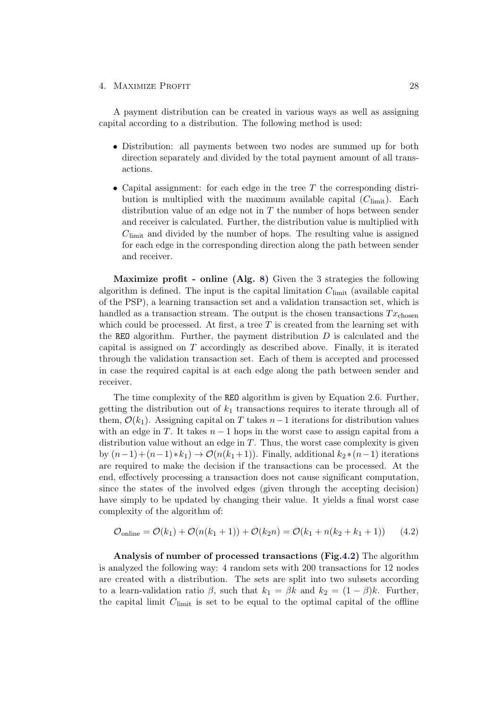#### 4. MAXIMIZE PROFIT 28

A payment distribution can be created in various ways as well as assigning capital according to a distribution. The following method is used:

- Distribution: all payments between two nodes are summed up for both direction separately and divided by the total payment amount of all transactions.
- Capital assignment: for each edge in the tree  $T$  the corresponding distribution is multiplied with the maximum available capital  $(C_{\text{limit}})$ . Each distribution value of an edge not in  $T$  the number of hops between sender and receiver is calculated. Further, the distribution value is multiplied with  $C<sub>limit</sub>$  and divided by the number of hops. The resulting value is assigned for each edge in the corresponding direction along the path between sender and receiver.

Maximize profit - online (Alg. [8\)](#page-32-0) Given the 3 strategies the following algorithm is defined. The input is the capital limitation  $C_{\text{limit}}$  (available capital of the PSP), a learning transaction set and a validation transaction set, which is handled as a transaction stream. The output is the chosen transactions  $Tx_{\text{chosen}}$ which could be processed. At first, a tree  $T$  is created from the learning set with the REO algorithm. Further, the payment distribution  $D$  is calculated and the capital is assigned on  $T$  accordingly as described above. Finally, it is iterated through the validation transaction set. Each of them is accepted and processed in case the required capital is at each edge along the path between sender and receiver.

The time complexity of the REO algorithm is given by Equation [2.6.](#page-16-1) Further, getting the distribution out of  $k_1$  transactions requires to iterate through all of them,  $\mathcal{O}(k_1)$ . Assigning capital on T takes  $n-1$  iterations for distribution values with an edge in T. It takes  $n-1$  hops in the worst case to assign capital from a distribution value without an edge in  $T$ . Thus, the worst case complexity is given by  $(n-1)+(n-1)*k_1 \rightarrow \mathcal{O}(n(k_1+1))$ . Finally, additional  $k_2*(n-1)$  iterations are required to make the decision if the transactions can be processed. At the end, effectively processing a transaction does not cause significant computation, since the states of the involved edges (given through the accepting decision) have simply to be updated by changing their value. It yields a final worst case complexity of the algorithm of:

$$
\mathcal{O}_{\text{online}} = \mathcal{O}(k_1) + \mathcal{O}(n(k_1 + 1)) + \mathcal{O}(k_2 n) = \mathcal{O}(k_1 + n(k_2 + k_1 + 1)) \tag{4.2}
$$

Analysis of number of processed transactions (Fig[.4.2\)](#page-33-0) The algorithm is analyzed the following way: 4 random sets with 200 transactions for 12 nodes are created with a distribution. The sets are split into two subsets according to a learn-validation ratio  $\beta$ , such that  $k_1 = \beta k$  and  $k_2 = (1 - \beta)k$ . Further, the capital limit  $C<sub>limit</sub>$  is set to be equal to the optimal capital of the offline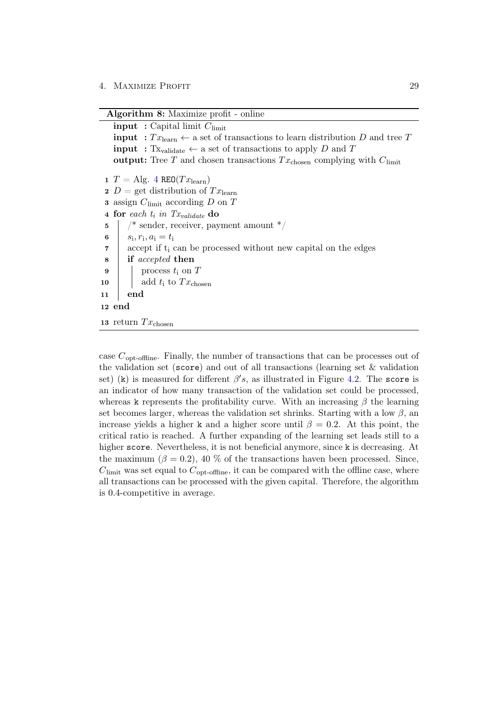Algorithm 8: Maximize profit - online

```
input : Capital limit C_{\text{limit}}input : Tx_{\text{learn}} \leftarrow a set of transactions to learn distribution D and tree T
   input : Tx<sub>validate</sub> \leftarrow a set of transactions to apply D and T
   output: Tree T and chosen transactions Tx_{\text{chosen}} complying with C_{\text{limit}}4 REO(Tx_{\text{learn}})2 D = get distribution of Tx_{\text{learn}}3 assign C_{\text{limit}} according D on T
 4 for each t_i in Tx_{validate} do
 \mathbf{5} /* sender, receiver, payment amount */
 6 s_i, r_i, a_i = t_i7 accept if t<sub>i</sub> can be processed without new capital on the edges
 8 if accepted then
 9 \mid process t_i on T
10 add t_i to Tx_{\text{chosen}}11 end
12 end
13 return Tx_{\text{chosen}}
```
<span id="page-32-0"></span>case  $C_{\text{opt-offline}}$ . Finally, the number of transactions that can be processes out of the validation set (score) and out of all transactions (learning set & validation set) (k) is measured for different  $\beta's$ , as illustrated in Figure [4.2.](#page-33-0) The score is an indicator of how many transaction of the validation set could be processed, whereas k represents the profitability curve. With an increasing  $\beta$  the learning set becomes larger, whereas the validation set shrinks. Starting with a low  $\beta$ , and increase yields a higher k and a higher score until  $\beta = 0.2$ . At this point, the critical ratio is reached. A further expanding of the learning set leads still to a higher score. Nevertheless, it is not beneficial anymore, since k is decreasing. At the maximum ( $\beta = 0.2$ ), 40 % of the transactions haven been processed. Since,  $C<sub>limit</sub>$  was set equal to  $C<sub>opt-offline</sub>$ , it can be compared with the offline case, where all transactions can be processed with the given capital. Therefore, the algorithm is 0.4-competitive in average.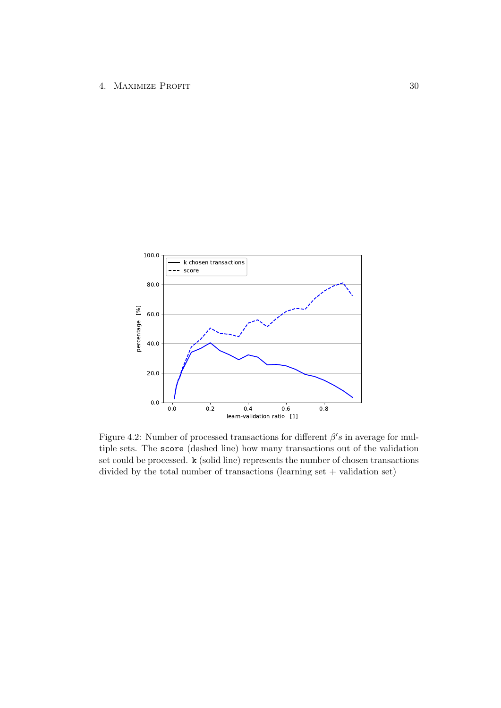<span id="page-33-0"></span>

Figure 4.2: Number of processed transactions for different  $\beta's$  in average for multiple sets. The score (dashed line) how many transactions out of the validation set could be processed. k (solid line) represents the number of chosen transactions divided by the total number of transactions (learning set  $+$  validation set)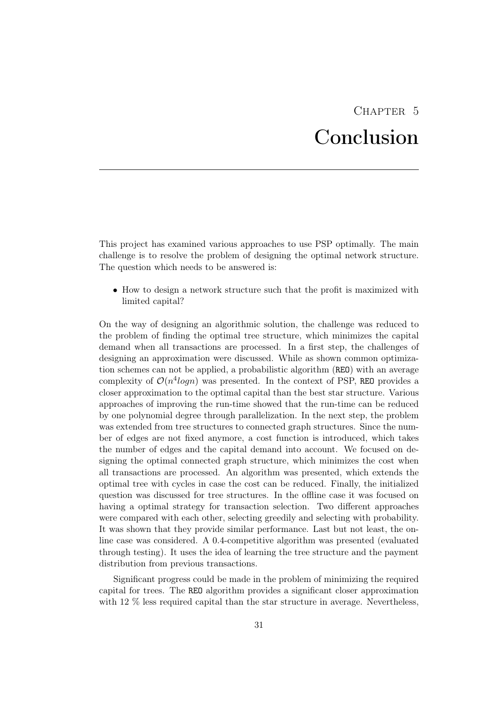# CHAPTER 5 Conclusion

<span id="page-34-0"></span>This project has examined various approaches to use PSP optimally. The main challenge is to resolve the problem of designing the optimal network structure. The question which needs to be answered is:

• How to design a network structure such that the profit is maximized with limited capital?

On the way of designing an algorithmic solution, the challenge was reduced to the problem of finding the optimal tree structure, which minimizes the capital demand when all transactions are processed. In a first step, the challenges of designing an approximation were discussed. While as shown common optimization schemes can not be applied, a probabilistic algorithm (REO) with an average complexity of  $\mathcal{O}(n^4 \log n)$  was presented. In the context of PSP, REO provides a closer approximation to the optimal capital than the best star structure. Various approaches of improving the run-time showed that the run-time can be reduced by one polynomial degree through parallelization. In the next step, the problem was extended from tree structures to connected graph structures. Since the number of edges are not fixed anymore, a cost function is introduced, which takes the number of edges and the capital demand into account. We focused on designing the optimal connected graph structure, which minimizes the cost when all transactions are processed. An algorithm was presented, which extends the optimal tree with cycles in case the cost can be reduced. Finally, the initialized question was discussed for tree structures. In the offline case it was focused on having a optimal strategy for transaction selection. Two different approaches were compared with each other, selecting greedily and selecting with probability. It was shown that they provide similar performance. Last but not least, the online case was considered. A 0.4-competitive algorithm was presented (evaluated through testing). It uses the idea of learning the tree structure and the payment distribution from previous transactions.

Significant progress could be made in the problem of minimizing the required capital for trees. The REO algorithm provides a significant closer approximation with 12 % less required capital than the star structure in average. Nevertheless,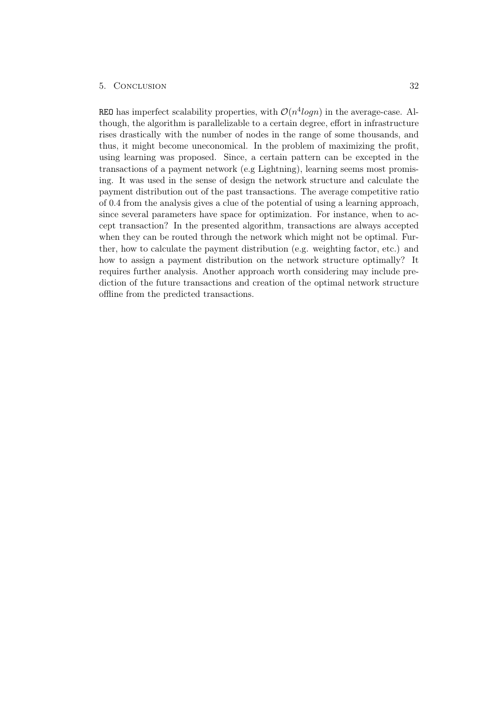#### 5. Conclusion 32

REO has imperfect scalability properties, with  $\mathcal{O}(n^4 log n)$  in the average-case. Although, the algorithm is parallelizable to a certain degree, effort in infrastructure rises drastically with the number of nodes in the range of some thousands, and thus, it might become uneconomical. In the problem of maximizing the profit, using learning was proposed. Since, a certain pattern can be excepted in the transactions of a payment network (e.g Lightning), learning seems most promising. It was used in the sense of design the network structure and calculate the payment distribution out of the past transactions. The average competitive ratio of 0.4 from the analysis gives a clue of the potential of using a learning approach, since several parameters have space for optimization. For instance, when to accept transaction? In the presented algorithm, transactions are always accepted when they can be routed through the network which might not be optimal. Further, how to calculate the payment distribution (e.g. weighting factor, etc.) and how to assign a payment distribution on the network structure optimally? It requires further analysis. Another approach worth considering may include prediction of the future transactions and creation of the optimal network structure offline from the predicted transactions.